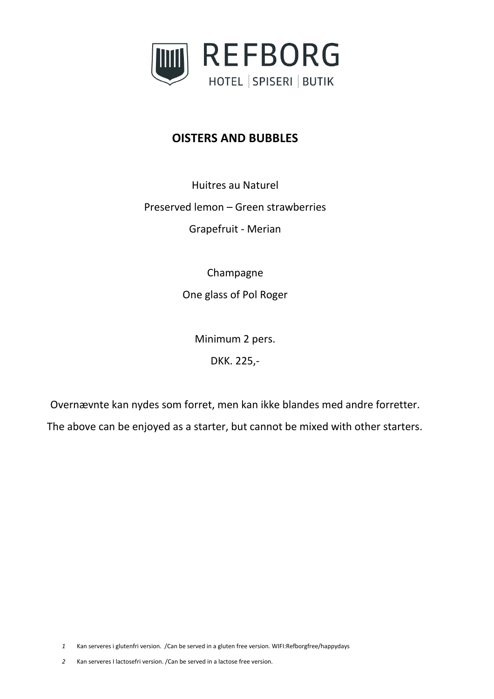

# **OISTERS AND BUBBLES**

Huitres au Naturel

Preserved lemon – Green strawberries

Grapefruit - Merian

Champagne One glass of Pol Roger

Minimum 2 pers.

DKK. 225,-

Overnævnte kan nydes som forret, men kan ikke blandes med andre forretter.

The above can be enjoyed as a starter, but cannot be mixed with other starters.

*1* Kan serveres i glutenfri version. /Can be served in a gluten free version. WIFI:Refborgfree/happydays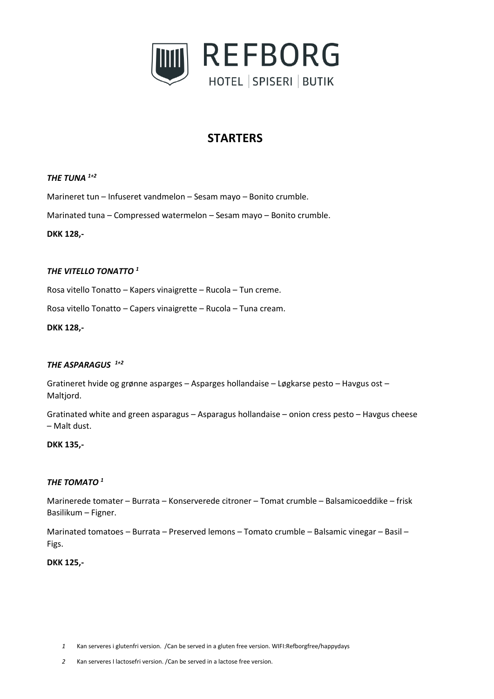

# **STARTERS**

## *THE TUNA 1+2*

Marineret tun – Infuseret vandmelon – Sesam mayo – Bonito crumble.

Marinated tuna – Compressed watermelon – Sesam mayo – Bonito crumble.

**DKK 128,-**

# *THE VITELLO TONATTO <sup>1</sup>*

Rosa vitello Tonatto – Kapers vinaigrette – Rucola – Tun creme.

Rosa vitello Tonatto – Capers vinaigrette – Rucola – Tuna cream.

**DKK 128,-**

#### *THE ASPARAGUS 1+2*

Gratineret hvide og grønne asparges – Asparges hollandaise – Løgkarse pesto – Havgus ost – Maltjord.

Gratinated white and green asparagus – Asparagus hollandaise – onion cress pesto – Havgus cheese – Malt dust.

#### **DKK 135,-**

#### *THE TOMATO <sup>1</sup>*

Marinerede tomater – Burrata – Konserverede citroner – Tomat crumble – Balsamicoeddike – frisk Basilikum – Figner.

Marinated tomatoes – Burrata – Preserved lemons – Tomato crumble – Balsamic vinegar – Basil – Figs.

#### **DKK 125,-**

- *1* Kan serveres i glutenfri version. /Can be served in a gluten free version. WIFI:Refborgfree/happydays
- *2* Kan serveres I lactosefri version. /Can be served in a lactose free version.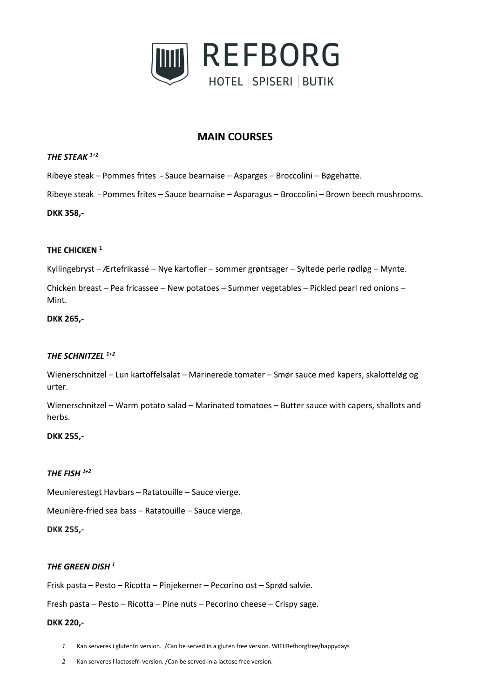

# **MAIN COURSES**

#### *THE STEAK 1+2*

Ribeye steak – Pommes frites - Sauce bearnaise – Asparges – Broccolini – Bøgehatte.

Ribeye steak - Pommes frites – Sauce bearnaise – Asparagus – Broccolini – Brown beech mushrooms.

#### **DKK 358,-**

#### **THE CHICKEN <sup>1</sup>**

Kyllingebryst – Ærtefrikassé – Nye kartofler – sommer grøntsager – Syltede perle rødløg – Mynte.

Chicken breast – Pea fricassee – New potatoes – Summer vegetables – Pickled pearl red onions – Mint.

#### **DKK 265,-**

# *THE SCHNITZEL 1+2*

Wienerschnitzel – Lun kartoffelsalat – Marinerede tomater – Smør sauce med kapers, skalotteløg og urter.

Wienerschnitzel – Warm potato salad – Marinated tomatoes – Butter sauce with capers, shallots and herbs.

#### **DKK 255,-**

#### *THE FISH 1+2*

Meunierestegt Havbars – Ratatouille – Sauce vierge.

Meunière-fried sea bass – Ratatouille – Sauce vierge.

#### **DKK 255,-**

#### *THE GREEN DISH 1*

Frisk pasta – Pesto – Ricotta – Pinjekerner – Pecorino ost – Sprød salvie.

Fresh pasta – Pesto – Ricotta – Pine nuts – Pecorino cheese – Crispy sage.

#### **DKK 220,-**

- *1* Kan serveres i glutenfri version. /Can be served in a gluten free version. WIFI:Refborgfree/happydays
- *2* Kan serveres I lactosefri version. /Can be served in a lactose free version.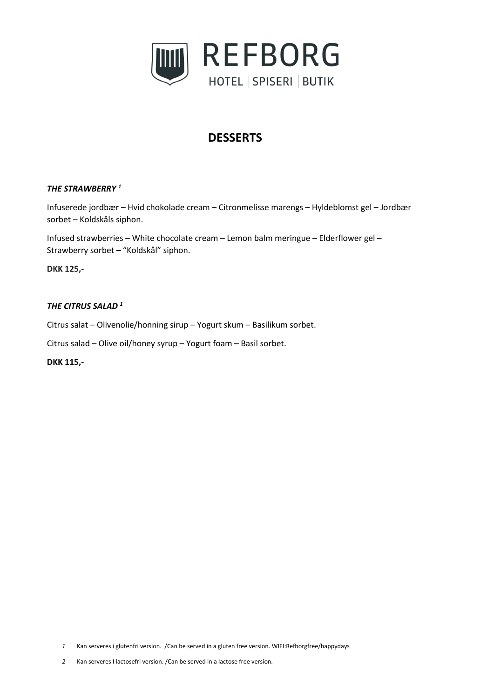

# **DESSERTS**

#### *THE STRAWBERRY <sup>1</sup>*

Infuserede jordbær – Hvid chokolade cream – Citronmelisse marengs – Hyldeblomst gel – Jordbær sorbet – Koldskåls siphon.

Infused strawberries – White chocolate cream – Lemon balm meringue – Elderflower gel – Strawberry sorbet – "Koldskål" siphon.

**DKK 125,-**

# *THE CITRUS SALAD <sup>1</sup>*

Citrus salat – Olivenolie/honning sirup – Yogurt skum – Basilikum sorbet.

Citrus salad – Olive oil/honey syrup – Yogurt foam – Basil sorbet.

**DKK 115,-**

*1* Kan serveres i glutenfri version. /Can be served in a gluten free version. WIFI:Refborgfree/happydays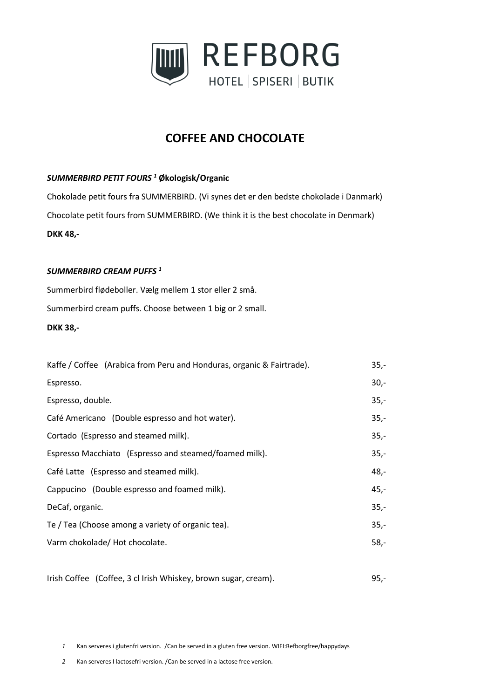

# **COFFEE AND CHOCOLATE**

# *SUMMERBIRD PETIT FOURS <sup>1</sup>* **Økologisk/Organic**

Chokolade petit fours fra SUMMERBIRD. (Vi synes det er den bedste chokolade i Danmark) Chocolate petit fours from SUMMERBIRD. (We think it is the best chocolate in Denmark) **DKK 48,-**

# *SUMMERBIRD CREAM PUFFS <sup>1</sup>*

Summerbird flødeboller. Vælg mellem 1 stor eller 2 små.

Summerbird cream puffs. Choose between 1 big or 2 small.

**DKK 38,-**

| Kaffe / Coffee (Arabica from Peru and Honduras, organic & Fairtrade). | $35 -$ |
|-----------------------------------------------------------------------|--------|
| Espresso.                                                             | $30 -$ |
| Espresso, double.                                                     | $35,-$ |
| Café Americano (Double espresso and hot water).                       | $35 -$ |
| Cortado (Espresso and steamed milk).                                  | $35 -$ |
| Espresso Macchiato (Espresso and steamed/foamed milk).                | $35 -$ |
| Café Latte (Espresso and steamed milk).                               | $48,-$ |
| Cappucino (Double espresso and foamed milk).                          | 45,-   |
| DeCaf, organic.                                                       | $35,-$ |
| Te / Tea (Choose among a variety of organic tea).                     | $35,-$ |
| Varm chokolade/ Hot chocolate.                                        | $58,-$ |
|                                                                       |        |

Irish Coffee (Coffee, 3 cl Irish Whiskey, brown sugar, cream). 95,-

*1* Kan serveres i glutenfri version. /Can be served in a gluten free version. WIFI:Refborgfree/happydays

*2* Kan serveres I lactosefri version. /Can be served in a lactose free version.